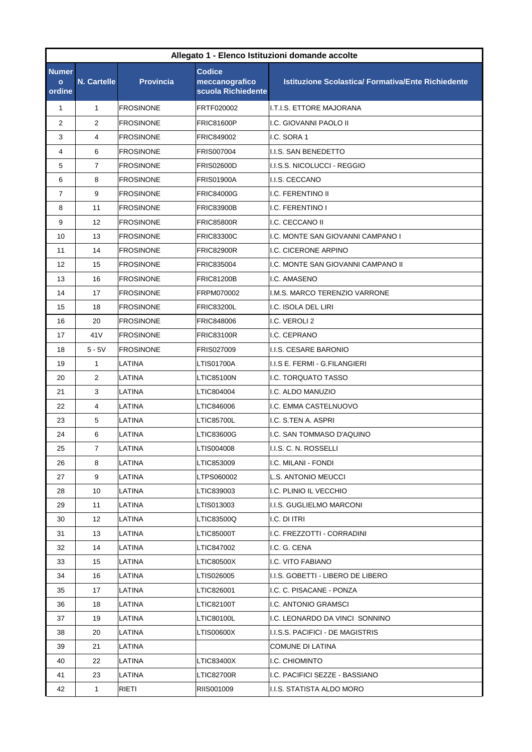| Allegato 1 - Elenco Istituzioni domande accolte |                    |                  |                                                       |                                                           |  |
|-------------------------------------------------|--------------------|------------------|-------------------------------------------------------|-----------------------------------------------------------|--|
| <b>Numer</b><br>$\circ$<br>ordine               | <b>N. Cartelle</b> | <b>Provincia</b> | <b>Codice</b><br>meccanografico<br>scuola Richiedente | <b>Istituzione Scolastica/ Formativa/Ente Richiedente</b> |  |
| $\mathbf{1}$                                    | $\mathbf{1}$       | <b>FROSINONE</b> | FRTF020002                                            | I.T.I.S. ETTORE MAJORANA                                  |  |
| 2                                               | $\overline{2}$     | <b>FROSINONE</b> | <b>FRIC81600P</b>                                     | I.C. GIOVANNI PAOLO II                                    |  |
| 3                                               | 4                  | <b>FROSINONE</b> | FRIC849002                                            | I.C. SORA 1                                               |  |
| 4                                               | 6                  | <b>FROSINONE</b> | FRIS007004                                            | I.I.S. SAN BENEDETTO                                      |  |
| 5                                               | $\overline{7}$     | <b>FROSINONE</b> | <b>FRIS02600D</b>                                     | I.I.S.S. NICOLUCCI - REGGIO                               |  |
| 6                                               | 8                  | <b>FROSINONE</b> | <b>FRIS01900A</b>                                     | I.I.S. CECCANO                                            |  |
| $\overline{7}$                                  | 9                  | <b>FROSINONE</b> | <b>FRIC84000G</b>                                     | I.C. FERENTINO II                                         |  |
| 8                                               | 11                 | <b>FROSINONE</b> | <b>FRIC83900B</b>                                     | I.C. FERENTINO I                                          |  |
| 9                                               | 12                 | <b>FROSINONE</b> | <b>FRIC85800R</b>                                     | I.C. CECCANO II                                           |  |
| 10                                              | 13                 | <b>FROSINONE</b> | <b>FRIC83300C</b>                                     | I.C. MONTE SAN GIOVANNI CAMPANO I                         |  |
| 11                                              | 14                 | <b>FROSINONE</b> | <b>FRIC82900R</b>                                     | <b>I.C. CICERONE ARPINO</b>                               |  |
| 12                                              | 15                 | <b>FROSINONE</b> | FRIC835004                                            | I.C. MONTE SAN GIOVANNI CAMPANO II                        |  |
| 13                                              | 16                 | <b>FROSINONE</b> | <b>FRIC81200B</b>                                     | I.C. AMASENO                                              |  |
| 14                                              | 17                 | <b>FROSINONE</b> | FRPM070002                                            | I.M.S. MARCO TERENZIO VARRONE                             |  |
| 15                                              | 18                 | <b>FROSINONE</b> | <b>FRIC83200L</b>                                     | I.C. ISOLA DEL LIRI                                       |  |
| 16                                              | 20                 | <b>FROSINONE</b> | <b>FRIC848006</b>                                     | I.C. VEROLI 2                                             |  |
| 17                                              | 41 <sub>V</sub>    | <b>FROSINONE</b> | <b>FRIC83100R</b>                                     | I.C. CEPRANO                                              |  |
| 18                                              | $5 - 5V$           | <b>FROSINONE</b> | FRIS027009                                            | I.I.S. CESARE BARONIO                                     |  |
| 19                                              | $\mathbf{1}$       | LATINA           | <b>LTIS01700A</b>                                     | I.I.S E. FERMI - G.FILANGIERI                             |  |
| 20                                              | 2                  | LATINA           | LTIC85100N                                            | I.C. TORQUATO TASSO                                       |  |
| 21                                              | 3                  | LATINA           | LTIC804004                                            | I.C. ALDO MANUZIO                                         |  |
| 22                                              | 4                  | LATINA           | LTIC846006                                            | I.C. EMMA CASTELNUOVO                                     |  |
| 23                                              | 5                  | LATINA           | LTIC85700L                                            | I.C. S.TEN A. ASPRI                                       |  |
| 24                                              | 6                  | LATINA           | LTIC83600G                                            | I.C. SAN TOMMASO D'AQUINO                                 |  |
| 25                                              | $\overline{7}$     | LATINA           | LTIS004008                                            | I.I.S. C. N. ROSSELLI                                     |  |
| 26                                              | 8                  | LATINA           | LTIC853009                                            | I.C. MILANI - FONDI                                       |  |
| 27                                              | 9                  | LATINA           | LTPS060002                                            | L.S. ANTONIO MEUCCI                                       |  |
| 28                                              | 10                 | LATINA           | LTIC839003                                            | I.C. PLINIO IL VECCHIO                                    |  |
| 29                                              | 11                 | LATINA           | LTIS013003                                            | I.I.S. GUGLIELMO MARCONI                                  |  |
| 30                                              | 12                 | LATINA           | LTIC83500Q                                            | I.C. DI ITRI                                              |  |
| 31                                              | 13                 | LATINA           | LTIC85000T                                            | I.C. FREZZOTTI - CORRADINI                                |  |
| 32                                              | 14                 | LATINA           | LTIC847002                                            | I.C. G. CENA                                              |  |
| 33                                              | 15                 | LATINA           | LTIC80500X                                            | I.C. VITO FABIANO                                         |  |
| 34                                              | 16                 | LATINA           | LTIS026005                                            | I.I.S. GOBETTI - LIBERO DE LIBERO                         |  |
| 35                                              | 17                 | LATINA           | LTIC826001                                            | I.C. C. PISACANE - PONZA                                  |  |
| 36                                              | 18                 | LATINA           | LTIC82100T                                            | I.C. ANTONIO GRAMSCI                                      |  |
| 37                                              | 19                 | LATINA           | LTIC80100L                                            | I.C. LEONARDO DA VINCI SONNINO                            |  |
| 38                                              | 20                 | LATINA           | LTIS00600X                                            | I.I.S.S. PACIFICI - DE MAGISTRIS                          |  |
| 39                                              | 21                 | LATINA           |                                                       | COMUNE DI LATINA                                          |  |
| 40                                              | 22                 | LATINA           | LTIC83400X                                            | I.C. CHIOMINTO                                            |  |
| 41                                              | 23                 | LATINA           | LTIC82700R                                            | I.C. PACIFICI SEZZE - BASSIANO                            |  |
| 42                                              | $\mathbf{1}$       | RIETI            | RIIS001009                                            | I.I.S. STATISTA ALDO MORO                                 |  |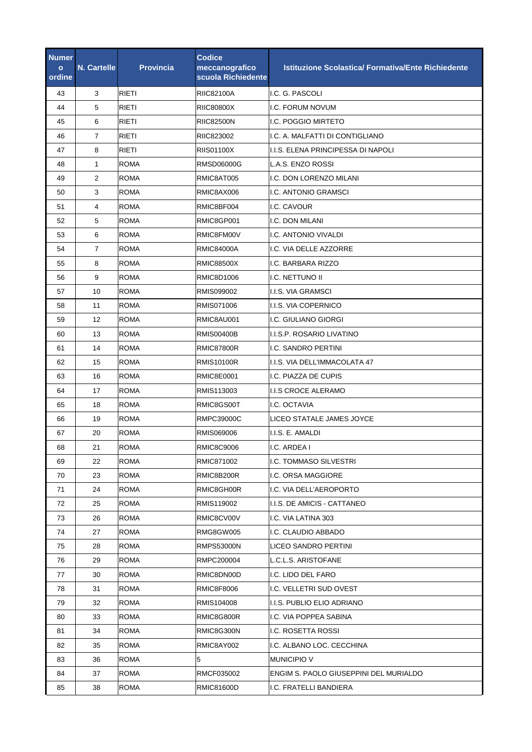| Numer<br>$\mathbf{o}$<br>ordine | <b>N. Cartelle</b> | <b>Provincia</b> | <b>Codice</b><br>meccanografico<br>scuola Richiedente | <b>Istituzione Scolastica/ Formativa/Ente Richiedente</b> |
|---------------------------------|--------------------|------------------|-------------------------------------------------------|-----------------------------------------------------------|
| 43                              | 3                  | <b>RIETI</b>     | <b>RIIC82100A</b>                                     | I.C. G. PASCOLI                                           |
| 44                              | 5                  | RIETI            | <b>RIIC80800X</b>                                     | I.C. FORUM NOVUM                                          |
| 45                              | 6                  | RIETI            | <b>RIIC82500N</b>                                     | I.C. POGGIO MIRTETO                                       |
| 46                              | $\overline{7}$     | <b>RIETI</b>     | RIIC823002                                            | I.C. A. MALFATTI DI CONTIGLIANO                           |
| 47                              | 8                  | <b>RIETI</b>     | <b>RIIS01100X</b>                                     | I.I.S. ELENA PRINCIPESSA DI NAPOLI                        |
| 48                              | 1                  | <b>ROMA</b>      | RMSD06000G                                            | L.A.S. ENZO ROSSI                                         |
| 49                              | 2                  | <b>ROMA</b>      | RMIC8AT005                                            | I.C. DON LORENZO MILANI                                   |
| 50                              | 3                  | <b>ROMA</b>      | RMIC8AX006                                            | I.C. ANTONIO GRAMSCI                                      |
| 51                              | 4                  | <b>ROMA</b>      | RMIC8BF004                                            | I.C. CAVOUR                                               |
| 52                              | 5                  | <b>ROMA</b>      | RMIC8GP001                                            | I.C. DON MILANI                                           |
| 53                              | 6                  | <b>ROMA</b>      | RMIC8FM00V                                            | I.C. ANTONIO VIVALDI                                      |
| 54                              | 7                  | <b>ROMA</b>      | <b>RMIC84000A</b>                                     | I.C. VIA DELLE AZZORRE                                    |
| 55                              | 8                  | <b>ROMA</b>      | <b>RMIC88500X</b>                                     | I.C. BARBARA RIZZO                                        |
| 56                              | 9                  | <b>ROMA</b>      | RMIC8D1006                                            | I.C. NETTUNO II                                           |
| 57                              | 10                 | <b>ROMA</b>      | RMIS099002                                            | I.I.S. VIA GRAMSCI                                        |
| 58                              | 11                 | <b>ROMA</b>      | RMIS071006                                            | I.I.S. VIA COPERNICO                                      |
| 59                              | 12                 | <b>ROMA</b>      | RMIC8AU001                                            | I.C. GIULIANO GIORGI                                      |
| 60                              | 13                 | ROMA             | <b>RMIS00400B</b>                                     | I.I.S.P. ROSARIO LIVATINO                                 |
| 61                              | 14                 | <b>ROMA</b>      | <b>RMIC87800R</b>                                     | I.C. SANDRO PERTINI                                       |
| 62                              | 15                 | <b>ROMA</b>      | <b>RMIS10100R</b>                                     | I.I.S. VIA DELL'IMMACOLATA 47                             |
| 63                              | 16                 | ROMA             | RMIC8E0001                                            | I.C. PIAZZA DE CUPIS                                      |
| 64                              | 17                 | <b>ROMA</b>      | RMIS113003                                            | <b>I.I.S CROCE ALERAMO</b>                                |
| 65                              | 18                 | <b>ROMA</b>      | RMIC8GS00T                                            | I.C. OCTAVIA                                              |
| 66                              | 19                 | <b>ROMA</b>      | RMPC39000C                                            | LICEO STATALE JAMES JOYCE                                 |
| 67                              | 20                 | <b>ROMA</b>      | RMIS069006                                            | I.I.S. E. AMALDI                                          |
| 68                              | 21                 | <b>ROMA</b>      | <b>RMIC8C9006</b>                                     | I.C. ARDEA I                                              |
| 69                              | 22                 | <b>ROMA</b>      | RMIC871002                                            | I.C. TOMMASO SILVESTRI                                    |
| 70                              | 23                 | <b>ROMA</b>      | RMIC8B200R                                            | I.C. ORSA MAGGIORE                                        |
| 71                              | 24                 | ROMA             | RMIC8GH00R                                            | I.C. VIA DELL'AEROPORTO                                   |
| 72                              | 25                 | ROMA             | RMIS119002                                            | I.I.S. DE AMICIS - CATTANEO                               |
| 73                              | 26                 | <b>ROMA</b>      | RMIC8CV00V                                            | I.C. VIA LATINA 303                                       |
| 74                              | 27                 | ROMA             | RMG8GW005                                             | I.C. CLAUDIO ABBADO                                       |
| 75                              | 28                 | ROMA             | <b>RMPS53000N</b>                                     | LICEO SANDRO PERTINI                                      |
| 76                              | 29                 | ROMA             | RMPC200004                                            | L.C.L.S. ARISTOFANE                                       |
| 77                              | 30                 | ROMA             | RMIC8DN00D                                            | I.C. LIDO DEL FARO                                        |
| 78                              | 31                 | <b>ROMA</b>      | RMIC8F8006                                            | I.C. VELLETRI SUD OVEST                                   |
| 79                              | 32                 | ROMA             | RMIS104008                                            | I.I.S. PUBLIO ELIO ADRIANO                                |
| 80                              | 33                 | ROMA             | RMIC8G800R                                            | I.C. VIA POPPEA SABINA                                    |
| 81                              | 34                 | <b>ROMA</b>      | RMIC8G300N                                            | I.C. ROSETTA ROSSI                                        |
| 82                              | 35                 | ROMA             | RMIC8AY002                                            | I.C. ALBANO LOC. CECCHINA                                 |
| 83                              | 36                 | ROMA             | 5                                                     | <b>MUNICIPIO V</b>                                        |
| 84                              | 37                 | ROMA             | RMCF035002                                            | ENGIM S. PAOLO GIUSEPPINI DEL MURIALDO                    |
| 85                              | 38                 | ROMA             | RMIC81600D                                            | I.C. FRATELLI BANDIERA                                    |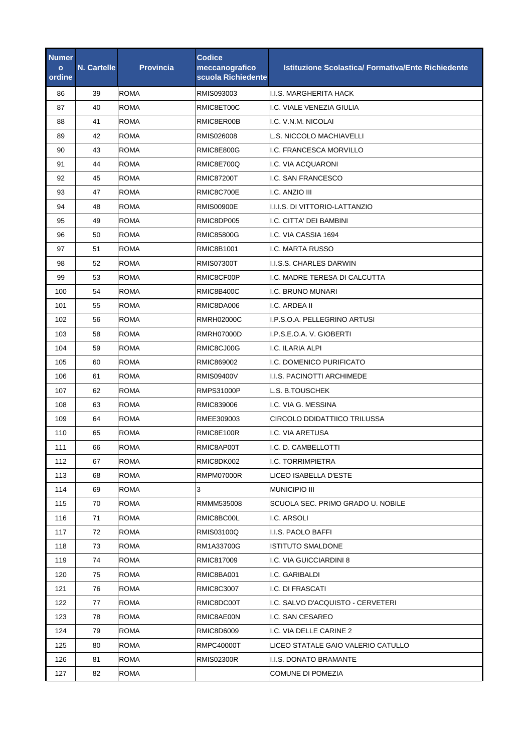| <b>Numer</b><br>$\mathbf{o}$<br>ordine | <b>N. Cartelle</b> | <b>Provincia</b> | <b>Codice</b><br>meccanografico<br>scuola Richiedente | <b>Istituzione Scolastica/ Formativa/Ente Richiedente</b> |
|----------------------------------------|--------------------|------------------|-------------------------------------------------------|-----------------------------------------------------------|
| 86                                     | 39                 | <b>ROMA</b>      | RMIS093003                                            | I.I.S. MARGHERITA HACK                                    |
| 87                                     | 40                 | <b>ROMA</b>      | RMIC8ET00C                                            | I.C. VIALE VENEZIA GIULIA                                 |
| 88                                     | 41                 | ROMA             | RMIC8ER00B                                            | I.C. V.N.M. NICOLAI                                       |
| 89                                     | 42                 | <b>ROMA</b>      | RMIS026008                                            | L.S. NICCOLO MACHIAVELLI                                  |
| 90                                     | 43                 | <b>ROMA</b>      | <b>RMIC8E800G</b>                                     | I.C. FRANCESCA MORVILLO                                   |
| 91                                     | 44                 | <b>ROMA</b>      | RMIC8E700Q                                            | I.C. VIA ACQUARONI                                        |
| 92                                     | 45                 | ROMA             | <b>RMIC87200T</b>                                     | I.C. SAN FRANCESCO                                        |
| 93                                     | 47                 | <b>ROMA</b>      | RMIC8C700E                                            | I.C. ANZIO III                                            |
| 94                                     | 48                 | <b>ROMA</b>      | <b>RMIS00900E</b>                                     | I.I.I.S. DI VITTORIO-LATTANZIO                            |
| 95                                     | 49                 | ROMA             | RMIC8DP005                                            | I.C. CITTA' DEI BAMBINI                                   |
| 96                                     | 50                 | <b>ROMA</b>      | <b>RMIC85800G</b>                                     | I.C. VIA CASSIA 1694                                      |
| 97                                     | 51                 | ROMA             | RMIC8B1001                                            | I.C. MARTA RUSSO                                          |
| 98                                     | 52                 | <b>ROMA</b>      | <b>RMIS07300T</b>                                     | <b>I.I.S.S. CHARLES DARWIN</b>                            |
| 99                                     | 53                 | <b>ROMA</b>      | RMIC8CF00P                                            | I.C. MADRE TERESA DI CALCUTTA                             |
| 100                                    | 54                 | <b>ROMA</b>      | RMIC8B400C                                            | <b>I.C. BRUNO MUNARI</b>                                  |
| 101                                    | 55                 | <b>ROMA</b>      | RMIC8DA006                                            | I.C. ARDEA II                                             |
| 102                                    | 56                 | ROMA             | <b>RMRH02000C</b>                                     | I.P.S.O.A. PELLEGRINO ARTUSI                              |
| 103                                    | 58                 | <b>ROMA</b>      | <b>RMRH07000D</b>                                     | I.P.S.E.O.A. V. GIOBERTI                                  |
| 104                                    | 59                 | <b>ROMA</b>      | RMIC8CJ00G                                            | I.C. ILARIA ALPI                                          |
| 105                                    | 60                 | <b>ROMA</b>      | RMIC869002                                            | I.C. DOMENICO PURIFICATO                                  |
| 106                                    | 61                 | ROMA             | <b>RMIS09400V</b>                                     | I.I.S. PACINOTTI ARCHIMEDE                                |
| 107                                    | 62                 | <b>ROMA</b>      | <b>RMPS31000P</b>                                     | L.S. B.TOUSCHEK                                           |
| 108                                    | 63                 | <b>ROMA</b>      | RMIC839006                                            | I.C. VIA G. MESSINA                                       |
| 109                                    | 64                 | ROMA             | RMEE309003                                            | CIRCOLO DDIDATTIICO TRILUSSA                              |
| 110                                    | 65                 | <b>ROMA</b>      | RMIC8E100R                                            | I.C. VIA ARETUSA                                          |
| 111                                    | 66                 | ROMA             | RMIC8AP00T                                            | I.C. D. CAMBELLOTTI                                       |
| 112                                    | 67                 | ROMA             | RMIC8DK002                                            | I.C. TORRIMPIETRA                                         |
| 113                                    | 68                 | ROMA             | RMPM07000R                                            | LICEO ISABELLA D'ESTE                                     |
| 114                                    | 69                 | <b>ROMA</b>      | 3                                                     | <b>MUNICIPIO III</b>                                      |
| 115                                    | 70                 | ROMA             | RMMM535008                                            | SCUOLA SEC. PRIMO GRADO U. NOBILE                         |
| 116                                    | 71                 | <b>ROMA</b>      | RMIC8BC00L                                            | I.C. ARSOLI                                               |
| 117                                    | 72                 | ROMA             | RMIS03100Q                                            | I.I.S. PAOLO BAFFI                                        |
| 118                                    | 73                 | ROMA             | RM1A33700G                                            | <b>ISTITUTO SMALDONE</b>                                  |
| 119                                    | 74                 | ROMA             | RMIC817009                                            | I.C. VIA GUICCIARDINI 8                                   |
| 120                                    | 75                 | ROMA             | RMIC8BA001                                            | I.C. GARIBALDI                                            |
| 121                                    | 76                 | ROMA             | RMIC8C3007                                            | I.C. DI FRASCATI                                          |
| 122                                    | 77                 | ROMA             | RMIC8DC00T                                            | I.C. SALVO D'ACQUISTO - CERVETERI                         |
| 123                                    | 78                 | ROMA             | RMIC8AE00N                                            | I.C. SAN CESAREO                                          |
| 124                                    | 79                 | <b>ROMA</b>      | RMIC8D6009                                            | I.C. VIA DELLE CARINE 2                                   |
| 125                                    | 80                 | <b>ROMA</b>      | RMPC40000T                                            | LICEO STATALE GAIO VALERIO CATULLO                        |
| 126                                    | 81                 | ROMA             | RMIS02300R                                            | <b>I.I.S. DONATO BRAMANTE</b>                             |
| 127                                    | 82                 | <b>ROMA</b>      |                                                       | <b>COMUNE DI POMEZIA</b>                                  |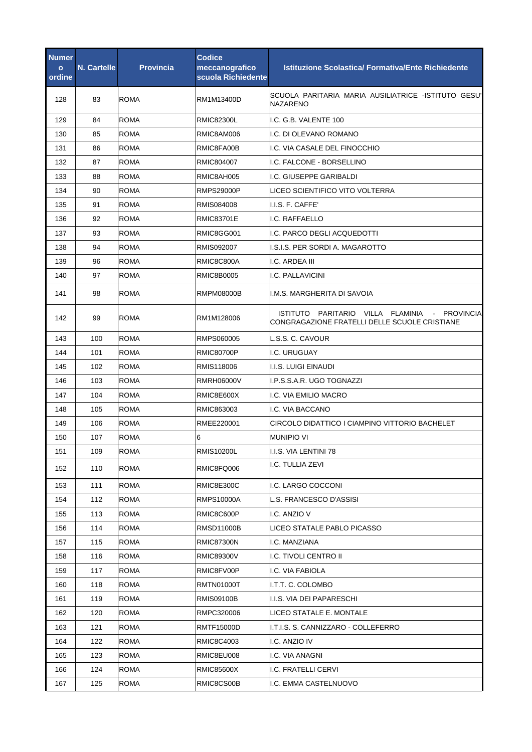| <b>Numer</b><br>$\mathbf{o}$<br>ordine | <b>N. Cartelle</b> | <b>Provincia</b> | <b>Codice</b><br>meccanografico<br>scuola Richiedente | <b>Istituzione Scolastica/ Formativa/Ente Richiedente</b>                                         |
|----------------------------------------|--------------------|------------------|-------------------------------------------------------|---------------------------------------------------------------------------------------------------|
| 128                                    | 83                 | <b>ROMA</b>      | RM1M13400D                                            | SCUOLA PARITARIA MARIA AUSILIATRICE -ISTITUTO GESU'<br><b>NAZARENO</b>                            |
| 129                                    | 84                 | <b>ROMA</b>      | <b>RMIC82300L</b>                                     | I.C. G.B. VALENTE 100                                                                             |
| 130                                    | 85                 | <b>ROMA</b>      | RMIC8AM006                                            | I.C. DI OLEVANO ROMANO                                                                            |
| 131                                    | 86                 | <b>ROMA</b>      | RMIC8FA00B                                            | I.C. VIA CASALE DEL FINOCCHIO                                                                     |
| 132                                    | 87                 | ROMA             | RMIC804007                                            | I.C. FALCONE - BORSELLINO                                                                         |
| 133                                    | 88                 | <b>ROMA</b>      | RMIC8AH005                                            | I.C. GIUSEPPE GARIBALDI                                                                           |
| 134                                    | 90                 | ROMA             | <b>RMPS29000P</b>                                     | LICEO SCIENTIFICO VITO VOLTERRA                                                                   |
| 135                                    | 91                 | <b>ROMA</b>      | RMIS084008                                            | I.I.S. F. CAFFE'                                                                                  |
| 136                                    | 92                 | <b>ROMA</b>      | <b>RMIC83701E</b>                                     | I.C. RAFFAELLO                                                                                    |
| 137                                    | 93                 | <b>ROMA</b>      | RMIC8GG001                                            | I.C. PARCO DEGLI ACQUEDOTTI                                                                       |
| 138                                    | 94                 | <b>ROMA</b>      | RMIS092007                                            | I.S.I.S. PER SORDI A. MAGAROTTO                                                                   |
| 139                                    | 96                 | <b>ROMA</b>      | RMIC8C800A                                            | I.C. ARDEA III                                                                                    |
| 140                                    | 97                 | <b>ROMA</b>      | RMIC8B0005                                            | I.C. PALLAVICINI                                                                                  |
| 141                                    | 98                 | ROMA             | RMPM08000B                                            | I.M.S. MARGHERITA DI SAVOIA                                                                       |
| 142                                    | 99                 | ROMA             | RM1M128006                                            | ISTITUTO PARITARIO VILLA FLAMINIA<br>- PROVINCIA<br>CONGRAGAZIONE FRATELLI DELLE SCUOLE CRISTIANE |
| 143                                    | 100                | <b>ROMA</b>      | RMPS060005                                            | L.S.S. C. CAVOUR                                                                                  |
| 144                                    | 101                | <b>ROMA</b>      | <b>RMIC80700P</b>                                     | I.C. URUGUAY                                                                                      |
| 145                                    | 102                | ROMA             | RMIS118006                                            | <b>I.I.S. LUIGI EINAUDI</b>                                                                       |
| 146                                    | 103                | <b>ROMA</b>      | <b>RMRH06000V</b>                                     | I.P.S.S.A.R. UGO TOGNAZZI                                                                         |
| 147                                    | 104                | <b>ROMA</b>      | RMIC8E600X                                            | I.C. VIA EMILIO MACRO                                                                             |
| 148                                    | 105                | <b>ROMA</b>      | RMIC863003                                            | I.C. VIA BACCANO                                                                                  |
| 149                                    | 106                | <b>ROMA</b>      | RMEE220001                                            | CIRCOLO DIDATTICO I CIAMPINO VITTORIO BACHELET                                                    |
| 150                                    | 107                | <b>ROMA</b>      | 6                                                     | <b>MUNIPIO VI</b>                                                                                 |
| 151                                    | 109                | ROMA             | RMIS10200L                                            | I.I.S. VIA LENTINI 78                                                                             |
| 152                                    | 110                | <b>ROMA</b>      | RMIC8FQ006                                            | I.C. TULLIA ZEVI                                                                                  |
| 153                                    | 111                | <b>ROMA</b>      | <b>RMIC8E300C</b>                                     | I.C. LARGO COCCONI                                                                                |
| 154                                    | 112                | ROMA             | RMPS10000A                                            | L.S. FRANCESCO D'ASSISI                                                                           |
| 155                                    | 113                | <b>ROMA</b>      | RMIC8C600P                                            | I.C. ANZIO V                                                                                      |
| 156                                    | 114                | ROMA             | RMSD11000B                                            | LICEO STATALE PABLO PICASSO                                                                       |
| 157                                    | 115                | ROMA             | <b>RMIC87300N</b>                                     | I.C. MANZIANA                                                                                     |
| 158                                    | 116                | ROMA             | <b>RMIC89300V</b>                                     | I.C. TIVOLI CENTRO II                                                                             |
| 159                                    | 117                | ROMA             | RMIC8FV00P                                            | I.C. VIA FABIOLA                                                                                  |
| 160                                    | 118                | <b>ROMA</b>      | RMTN01000T                                            | I.T.T. C. COLOMBO                                                                                 |
| 161                                    | 119                | <b>ROMA</b>      | RMIS09100B                                            | I.I.S. VIA DEI PAPARESCHI                                                                         |
| 162                                    | 120                | ROMA             | RMPC320006                                            | LICEO STATALE E. MONTALE                                                                          |
| 163                                    | 121                | ROMA             | <b>RMTF15000D</b>                                     | I.T.I.S. S. CANNIZZARO - COLLEFERRO                                                               |
| 164                                    | 122                | <b>ROMA</b>      | RMIC8C4003                                            | I.C. ANZIO IV                                                                                     |
| 165                                    | 123                | ROMA             | RMIC8EU008                                            | I.C. VIA ANAGNI                                                                                   |
| 166                                    | 124                | <b>ROMA</b>      | RMIC85600X                                            | I.C. FRATELLI CERVI                                                                               |
| 167                                    | 125                | <b>ROMA</b>      | RMIC8CS00B                                            | I.C. EMMA CASTELNUOVO                                                                             |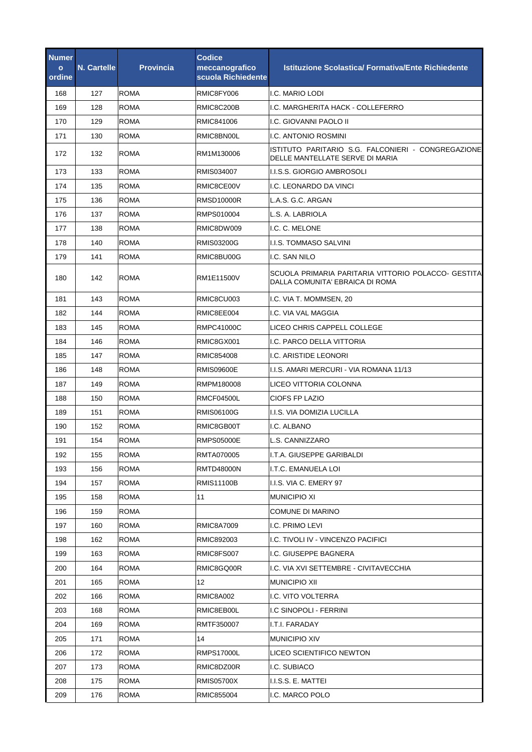| Numer<br>$\mathbf{o}$<br>ordine | <b>N. Cartelle</b> | <b>Provincia</b> | <b>Codice</b><br>meccanografico<br>scuola Richiedente | <b>Istituzione Scolastica/ Formativa/Ente Richiedente</b>                              |
|---------------------------------|--------------------|------------------|-------------------------------------------------------|----------------------------------------------------------------------------------------|
| 168                             | 127                | <b>ROMA</b>      | RMIC8FY006                                            | I.C. MARIO LODI                                                                        |
| 169                             | 128                | <b>ROMA</b>      | RMIC8C200B                                            | I.C. MARGHERITA HACK - COLLEFERRO                                                      |
| 170                             | 129                | <b>ROMA</b>      | RMIC841006                                            | I.C. GIOVANNI PAOLO II                                                                 |
| 171                             | 130                | <b>ROMA</b>      | RMIC8BN00L                                            | I.C. ANTONIO ROSMINI                                                                   |
| 172                             | 132                | <b>ROMA</b>      | RM1M130006                                            | ISTITUTO PARITARIO S.G. FALCONIERI - CONGREGAZIONE<br>DELLE MANTELLATE SERVE DI MARIA  |
| 173                             | 133                | <b>ROMA</b>      | RMIS034007                                            | I.I.S.S. GIORGIO AMBROSOLI                                                             |
| 174                             | 135                | <b>ROMA</b>      | RMIC8CE00V                                            | I.C. LEONARDO DA VINCI                                                                 |
| 175                             | 136                | <b>ROMA</b>      | RMSD10000R                                            | L.A.S. G.C. ARGAN                                                                      |
| 176                             | 137                | <b>ROMA</b>      | RMPS010004                                            | L.S. A. LABRIOLA                                                                       |
| 177                             | 138                | <b>ROMA</b>      | RMIC8DW009                                            | I.C. C. MELONE                                                                         |
| 178                             | 140                | <b>ROMA</b>      | <b>RMIS03200G</b>                                     | I.I.S. TOMMASO SALVINI                                                                 |
| 179                             | 141                | <b>ROMA</b>      | RMIC8BU00G                                            | I.C. SAN NILO                                                                          |
| 180                             | 142                | <b>ROMA</b>      | RM1E11500V                                            | SCUOLA PRIMARIA PARITARIA VITTORIO POLACCO- GESTITA<br>DALLA COMUNITA' EBRAICA DI ROMA |
| 181                             | 143                | <b>ROMA</b>      | RMIC8CU003                                            | I.C. VIA T. MOMMSEN, 20                                                                |
| 182                             | 144                | <b>ROMA</b>      | RMIC8EE004                                            | I.C. VIA VAL MAGGIA                                                                    |
| 183                             | 145                | <b>ROMA</b>      | RMPC41000C                                            | LICEO CHRIS CAPPELL COLLEGE                                                            |
| 184                             | 146                | <b>ROMA</b>      | RMIC8GX001                                            | I.C. PARCO DELLA VITTORIA                                                              |
| 185                             | 147                | <b>ROMA</b>      | RMIC854008                                            | I.C. ARISTIDE LEONORI                                                                  |
| 186                             | 148                | <b>ROMA</b>      | <b>RMIS09600E</b>                                     | I.I.S. AMARI MERCURI - VIA ROMANA 11/13                                                |
| 187                             | 149                | <b>ROMA</b>      | RMPM180008                                            | LICEO VITTORIA COLONNA                                                                 |
| 188                             | 150                | <b>ROMA</b>      | RMCF04500L                                            | CIOFS FP LAZIO                                                                         |
| 189                             | 151                | <b>ROMA</b>      | <b>RMIS06100G</b>                                     | I.I.S. VIA DOMIZIA LUCILLA                                                             |
| 190                             | 152                | <b>ROMA</b>      | RMIC8GB00T                                            | I.C. ALBANO                                                                            |
| 191                             | 154                | <b>ROMA</b>      | <b>RMPS05000E</b>                                     | L.S. CANNIZZARO                                                                        |
| 192                             | 155                | <b>ROMA</b>      | RMTA070005                                            | I.T.A. GIUSEPPE GARIBALDI                                                              |
| 193                             | 156                | ROMA             | <b>RMTD48000N</b>                                     | I.T.C. EMANUELA LOI                                                                    |
| 194                             | 157                | <b>ROMA</b>      | <b>RMIS11100B</b>                                     | I.I.S. VIA C. EMERY 97                                                                 |
| 195                             | 158                | <b>ROMA</b>      | 11                                                    | <b>MUNICIPIO XI</b>                                                                    |
| 196                             | 159                | <b>ROMA</b>      |                                                       | COMUNE DI MARINO                                                                       |
| 197                             | 160                | <b>ROMA</b>      | <b>RMIC8A7009</b>                                     | I.C. PRIMO LEVI                                                                        |
| 198                             | 162                | ROMA             | RMIC892003                                            | I.C. TIVOLI IV - VINCENZO PACIFICI                                                     |
| 199                             | 163                | <b>ROMA</b>      | RMIC8FS007                                            | I.C. GIUSEPPE BAGNERA                                                                  |
| 200                             | 164                | ROMA             | RMIC8GQ00R                                            | I.C. VIA XVI SETTEMBRE - CIVITAVECCHIA                                                 |
| 201                             | 165                | <b>ROMA</b>      | 12 <sup>°</sup>                                       | <b>MUNICIPIO XII</b>                                                                   |
| 202                             | 166                | ROMA             | <b>RMIC8A002</b>                                      | I.C. VITO VOLTERRA                                                                     |
| 203                             | 168                | <b>ROMA</b>      | RMIC8EB00L                                            | I.C SINOPOLI - FERRINI                                                                 |
| 204                             | 169                | <b>ROMA</b>      | RMTF350007                                            | I.T.I. FARADAY                                                                         |
| 205                             | 171                | ROMA             | 14                                                    | <b>MUNICIPIO XIV</b>                                                                   |
| 206                             | 172                | ROMA             | RMPS17000L                                            | LICEO SCIENTIFICO NEWTON                                                               |
| 207                             | 173                | ROMA             | RMIC8DZ00R                                            | I.C. SUBIACO                                                                           |
| 208                             | 175                | ROMA             | <b>RMIS05700X</b>                                     | I.I.S.S. E. MATTEI                                                                     |
| 209                             | 176                | <b>ROMA</b>      | RMIC855004                                            | I.C. MARCO POLO                                                                        |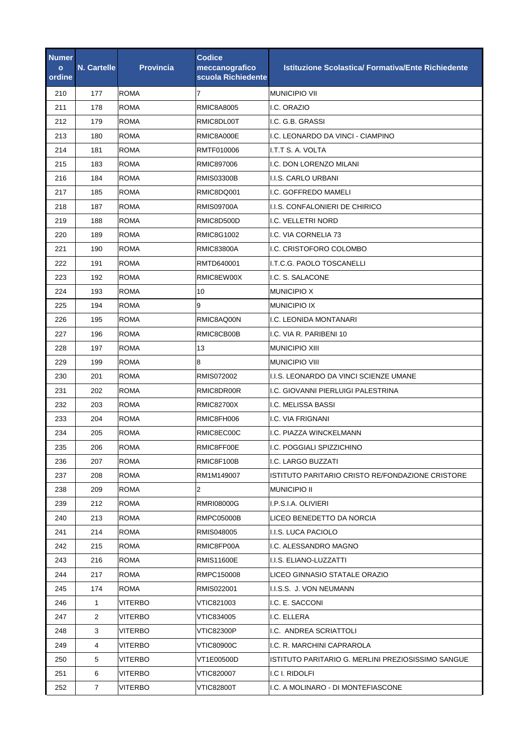| Numer<br>$\mathbf{o}$<br>ordine | <b>N. Cartelle</b> | <b>Provincia</b> | <b>Codice</b><br>meccanografico<br>scuola Richiedente | <b>Istituzione Scolastica/ Formativa/Ente Richiedente</b> |
|---------------------------------|--------------------|------------------|-------------------------------------------------------|-----------------------------------------------------------|
| 210                             | 177                | <b>ROMA</b>      | 7                                                     | <b>MUNICIPIO VII</b>                                      |
| 211                             | 178                | <b>ROMA</b>      | RMIC8A8005                                            | I.C. ORAZIO                                               |
| 212                             | 179                | <b>ROMA</b>      | RMIC8DL00T                                            | I.C. G.B. GRASSI                                          |
| 213                             | 180                | ROMA             | RMIC8A000E                                            | I.C. LEONARDO DA VINCI - CIAMPINO                         |
| 214                             | 181                | <b>ROMA</b>      | RMTF010006                                            | I.T.T S. A. VOLTA                                         |
| 215                             | 183                | <b>ROMA</b>      | RMIC897006                                            | I.C. DON LORENZO MILANI                                   |
| 216                             | 184                | <b>ROMA</b>      | RMIS03300B                                            | I.I.S. CARLO URBANI                                       |
| 217                             | 185                | <b>ROMA</b>      | RMIC8DQ001                                            | I.C. GOFFREDO MAMELI                                      |
| 218                             | 187                | <b>ROMA</b>      | <b>RMIS09700A</b>                                     | I.I.S. CONFALONIERI DE CHIRICO                            |
| 219                             | 188                | <b>ROMA</b>      | RMIC8D500D                                            | I.C. VELLETRI NORD                                        |
| 220                             | 189                | <b>ROMA</b>      | <b>RMIC8G1002</b>                                     | I.C. VIA CORNELIA 73                                      |
| 221                             | 190                | <b>ROMA</b>      | <b>RMIC83800A</b>                                     | I.C. CRISTOFORO COLOMBO                                   |
| 222                             | 191                | <b>ROMA</b>      | RMTD640001                                            | I.T.C.G. PAOLO TOSCANELLI                                 |
| 223                             | 192                | <b>ROMA</b>      | RMIC8EW00X                                            | I.C. S. SALACONE                                          |
| 224                             | 193                | <b>ROMA</b>      | 10                                                    | <b>MUNICIPIO X</b>                                        |
| 225                             | 194                | <b>ROMA</b>      | 9                                                     | <b>MUNICIPIO IX</b>                                       |
| 226                             | 195                | <b>ROMA</b>      | RMIC8AQ00N                                            | I.C. LEONIDA MONTANARI                                    |
| 227                             | 196                | <b>ROMA</b>      | RMIC8CB00B                                            | I.C. VIA R. PARIBENI 10                                   |
| 228                             | 197                | <b>ROMA</b>      | 13                                                    | <b>MUNICIPIO XIII</b>                                     |
| 229                             | 199                | <b>ROMA</b>      | 8                                                     | <b>MUNICIPIO VIII</b>                                     |
| 230                             | 201                | <b>ROMA</b>      | RMIS072002                                            | I.I.S. LEONARDO DA VINCI SCIENZE UMANE                    |
| 231                             | 202                | <b>ROMA</b>      | RMIC8DR00R                                            | I.C. GIOVANNI PIERLUIGI PALESTRINA                        |
| 232                             | 203                | <b>ROMA</b>      | <b>RMIC82700X</b>                                     | I.C. MELISSA BASSI                                        |
| 233                             | 204                | <b>ROMA</b>      | RMIC8FH006                                            | I.C. VIA FRIGNANI                                         |
| 234                             | 205                | <b>ROMA</b>      | RMIC8EC00C                                            | I.C. PIAZZA WINCKELMANN                                   |
| 235                             | 206                | <b>ROMA</b>      | RMIC8FF00E                                            | I.C. POGGIALI SPIZZICHINO                                 |
| 236                             | 207                | <b>ROMA</b>      | RMIC8F100B                                            | I.C. LARGO BUZZATI                                        |
| 237                             | 208                | <b>ROMA</b>      | RM1M149007                                            | ISTITUTO PARITARIO CRISTO RE/FONDAZIONE CRISTORE          |
| 238                             | 209                | ROMA             | 2                                                     | <b>MUNICIPIO II</b>                                       |
| 239                             | 212                | ROMA             | RMRI08000G                                            | I.P.S.I.A. OLIVIERI                                       |
| 240                             | 213                | <b>ROMA</b>      | RMPC05000B                                            | LICEO BENEDETTO DA NORCIA                                 |
| 241                             | 214                | ROMA             | RMIS048005                                            | I.I.S. LUCA PACIOLO                                       |
| 242                             | 215                | <b>ROMA</b>      | RMIC8FP00A                                            | I.C. ALESSANDRO MAGNO                                     |
| 243                             | 216                | ROMA             | <b>RMIS11600E</b>                                     | I.I.S. ELIANO-LUZZATTI                                    |
| 244                             | 217                | ROMA             | RMPC150008                                            | LICEO GINNASIO STATALE ORAZIO                             |
| 245                             | 174                | <b>ROMA</b>      | RMIS022001                                            | I.I.S.S. J. VON NEUMANN                                   |
| 246                             | 1                  | VITERBO          | VTIC821003                                            | I.C. E. SACCONI                                           |
| 247                             | 2                  | VITERBO          | VTIC834005                                            | I.C. ELLERA                                               |
| 248                             | 3                  | <b>VITERBO</b>   | VTIC82300P                                            | I.C. ANDREA SCRIATTOLI                                    |
| 249                             | 4                  | VITERBO          | VTIC80900C                                            | I.C. R. MARCHINI CAPRAROLA                                |
| 250                             | 5                  | <b>VITERBO</b>   | VT1E00500D                                            | ISTITUTO PARITARIO G. MERLINI PREZIOSISSIMO SANGUE        |
| 251                             | 6                  | VITERBO          | VTIC820007                                            | I.C I. RIDOLFI                                            |
| 252                             | 7                  | <b>VITERBO</b>   | <b>VTIC82800T</b>                                     | I.C. A MOLINARO - DI MONTEFIASCONE                        |